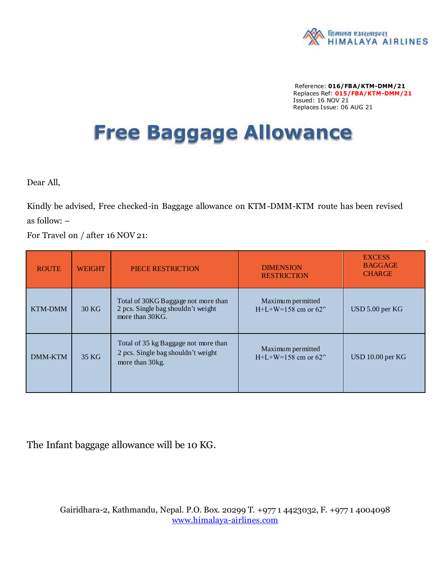

Reference: **016/FBA/KTM-DMM/21** Replaces Ref: **015/FBA/KTM-DMM/21** Issued: 16 NOV 21 Replaces Issue: 06 AUG 21

## **Free Baggage Allowance**

Dear All,

Kindly be advised, Free checked-in Baggage allowance on KTM-DMM-KTM route has been revised as follow: –

For Travel on / after 16 NOV 21:

| <b>ROUTE</b>   | <b>WEIGHT</b> | PIECE RESTRICTION                                                                              | <b>DIMENSION</b><br><b>RESTRICTION</b>           | <b>EXCESS</b><br><b>BAGGAGE</b><br><b>CHARGE</b> |
|----------------|---------------|------------------------------------------------------------------------------------------------|--------------------------------------------------|--------------------------------------------------|
| <b>KTM-DMM</b> | 30 KG         | Total of 30KG Baggage not more than<br>2 pcs. Single bag shouldn't weight<br>more than 30KG.   | Maximum permitted<br>$H + L + W = 158$ cm or 62" | USD 5.00 per KG                                  |
| <b>DMM-KTM</b> | 35 KG         | Total of 35 kg Baggage not more than<br>2 pcs. Single bag shouldn't weight<br>more than 30 kg. | Maximum permitted<br>$H+L+W=158$ cm or 62"       | USD 10.00 per KG                                 |

The Infant baggage allowance will be 10 KG.

Gairidhara-2, Kathmandu, Nepal. P.O. Box. 20299 T. +977 1 4423032, F. +977 1 4004098 [www.himalaya-airlines.com](http://www.himalaya-airlines.com/)